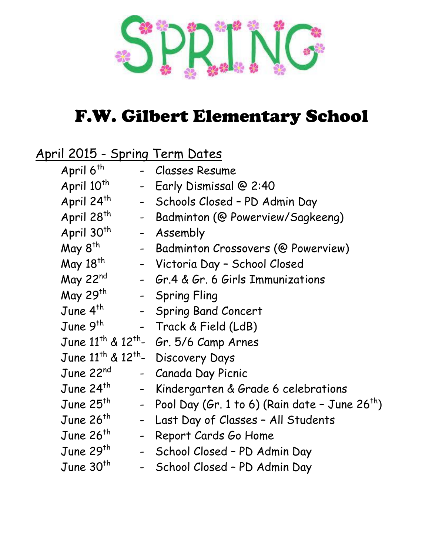

### F.W. Gilbert Elementary School

#### April 2015 - Spring Term Dates

|                                                           | April 6 <sup>th</sup>  | - Classes Resume                                             |
|-----------------------------------------------------------|------------------------|--------------------------------------------------------------|
|                                                           | April 10 <sup>th</sup> | Early Dismissal @ 2:40                                       |
|                                                           | April 24th             | - Schools Closed - PD Admin Day                              |
|                                                           | April 28 <sup>th</sup> | Badminton (@ Powerview/Sagkeeng)                             |
|                                                           | April 30 <sup>th</sup> | - Assembly                                                   |
|                                                           | May 8 <sup>th</sup>    | - Badminton Crossovers (@ Powerview)                         |
|                                                           | May 18 <sup>th</sup>   | - Victoria Day - School Closed                               |
|                                                           | May 22nd               | - Gr.4 & Gr. 6 Girls Immunizations                           |
|                                                           | May 29th               | - Spring Fling                                               |
|                                                           | June 4 <sup>th</sup>   | - Spring Band Concert                                        |
|                                                           | June 9 <sup>th</sup>   | - Track & Field (LdB)                                        |
|                                                           |                        | June $11^{th}$ & $12^{th}$ - Gr. 5/6 Camp Arnes              |
| June 11 <sup>th</sup> & 12 <sup>th</sup> - Discovery Days |                        |                                                              |
|                                                           | June 22nd              | - Canada Day Picnic                                          |
|                                                           | June $24th$            | Kindergarten & Grade 6 celebrations                          |
|                                                           | June $25^{th}$         | - Pool Day (Gr. 1 to 6) (Rain date - June 26 <sup>th</sup> ) |
|                                                           | June $26th$            | Last Day of Classes - All Students                           |
|                                                           | June 26 <sup>th</sup>  | Report Cards Go Home                                         |
|                                                           | June 29 <sup>th</sup>  | - School Closed - PD Admin Day                               |
|                                                           | June $30th$            | School Closed - PD Admin Day                                 |
|                                                           |                        |                                                              |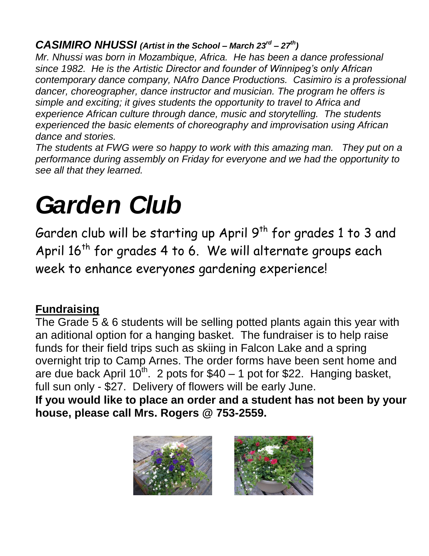#### *CASIMIRO NHUSSI (Artist in the School – March 23rd – 27th)*

*Mr. Nhussi was born in Mozambique, Africa. He has been a dance professional since 1982. He is the Artistic Director and founder of Winnipeg's only African contemporary dance company, NAfro Dance Productions. Casimiro is a professional dancer, choreographer, dance instructor and musician. The program he offers is simple and exciting; it gives students the opportunity to travel to Africa and experience African culture through dance, music and storytelling. The students experienced the basic elements of choreography and improvisation using African dance and stories.* 

*The students at FWG were so happy to work with this amazing man. They put on a performance during assembly on Friday for everyone and we had the opportunity to see all that they learned.*

# *Garden Club*

Garden club will be starting up April  $9^{th}$  for grades 1 to 3 and April  $16^{th}$  for grades 4 to 6. We will alternate groups each week to enhance everyones gardening experience!

#### **Fundraising**

The Grade 5 & 6 students will be selling potted plants again this year with an aditional option for a hanging basket. The fundraiser is to help raise funds for their field trips such as skiing in Falcon Lake and a spring overnight trip to Camp Arnes. The order forms have been sent home and are due back April  $10^{th}$ . 2 pots for \$40 – 1 pot for \$22. Hanging basket, full sun only - \$27. Delivery of flowers will be early June.

**If you would like to place an order and a student has not been by your house, please call Mrs. Rogers @ 753-2559.**